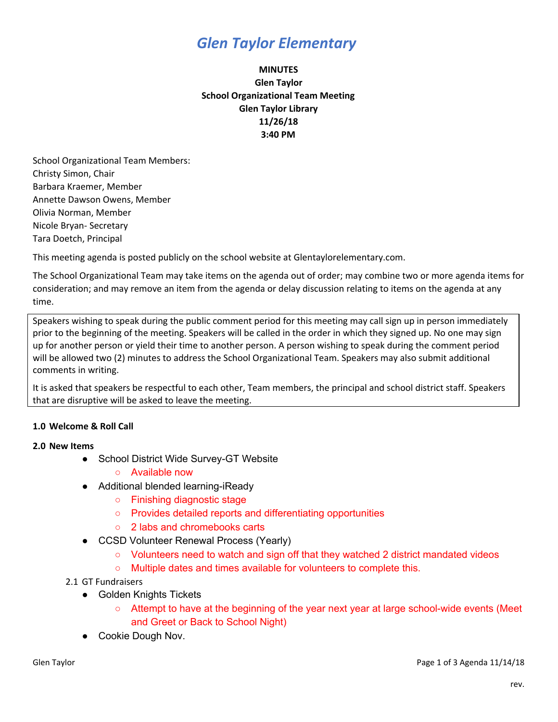## *Glen Taylor Elementary*

### **MINUTES Glen Taylor School Organizational Team Meeting Glen Taylor Library 11/26/18 3:40 PM**

School Organizational Team Members: Christy Simon, Chair Barbara Kraemer, Member Annette Dawson Owens, Member Olivia Norman, Member Nicole Bryan- Secretary Tara Doetch, Principal

This meeting agenda is posted publicly on the school website at Glentaylorelementary.com.

The School Organizational Team may take items on the agenda out of order; may combine two or more agenda items for consideration; and may remove an item from the agenda or delay discussion relating to items on the agenda at any time.

Speakers wishing to speak during the public comment period for this meeting may call sign up in person immediately prior to the beginning of the meeting. Speakers will be called in the order in which they signed up. No one may sign up for another person or yield their time to another person. A person wishing to speak during the comment period will be allowed two (2) minutes to address the School Organizational Team. Speakers may also submit additional comments in writing.

It is asked that speakers be respectful to each other, Team members, the principal and school district staff. Speakers that are disruptive will be asked to leave the meeting.

### **1.0 Welcome & Roll Call**

#### **2.0 New Items**

- School District Wide Survey-GT Website
	- Available now
- Additional blended learning-iReady
	- Finishing diagnostic stage
	- Provides detailed reports and differentiating opportunities
	- 2 labs and chromebooks carts
- CCSD Volunteer Renewal Process (Yearly)
	- Volunteers need to watch and sign off that they watched 2 district mandated videos
	- Multiple dates and times available for volunteers to complete this.
- 2.1 GT Fundraisers
	- Golden Knights Tickets
		- Attempt to have at the beginning of the year next year at large school-wide events (Meet and Greet or Back to School Night)
	- Cookie Dough Nov.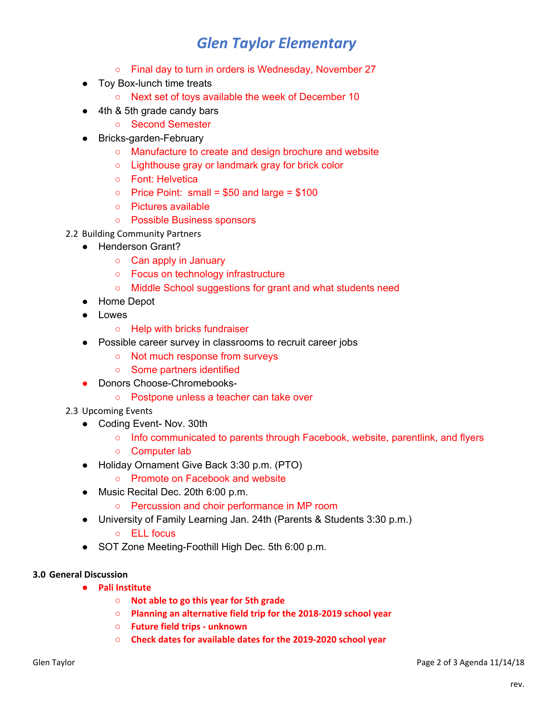# *Glen Taylor Elementary*

- Final day to turn in orders is Wednesday, November 27
- Toy Box-lunch time treats
	- Next set of toys available the week of December 10
- 4th & 5th grade candy bars
	- Second Semester
- Bricks-garden-February
	- Manufacture to create and design brochure and website
	- Lighthouse gray or landmark gray for brick color
	- Font: Helvetica
	- $\circ$  Price Point: small = \$50 and large = \$100
	- Pictures available
	- Possible Business sponsors
- 2.2 Building Community Partners
	- Henderson Grant?
		- Can apply in January
		- Focus on technology infrastructure
		- Middle School suggestions for grant and what students need
	- Home Depot
	- Lowes
		- Help with bricks fundraiser
	- Possible career survey in classrooms to recruit career jobs
		- Not much response from surveys
		- Some partners identified
	- Donors Choose-Chromebooks-
		- Postpone unless a teacher can take over
- 2.3 Upcoming Events
	- Coding Event- Nov. 30th
		- Info communicated to parents through Facebook, website, parentlink, and flyers
		- Computer lab
	- Holiday Ornament Give Back 3:30 p.m. (PTO)
		- Promote on Facebook and website
	- Music Recital Dec. 20th 6:00 p.m.
		- Percussion and choir performance in MP room
	- University of Family Learning Jan. 24th (Parents & Students 3:30 p.m.)
		- ELL focus
	- SOT Zone Meeting-Foothill High Dec. 5th 6:00 p.m.

### **3.0 General Discussion**

- **● Pali Institute**
	- **○ Not able to go this year for 5th grade**
	- **○ Planning an alternative field trip for the 2018-2019 school year**
	- **○ Future field trips - unknown**
	- **○ Check dates for available dates for the 2019-2020 school year**